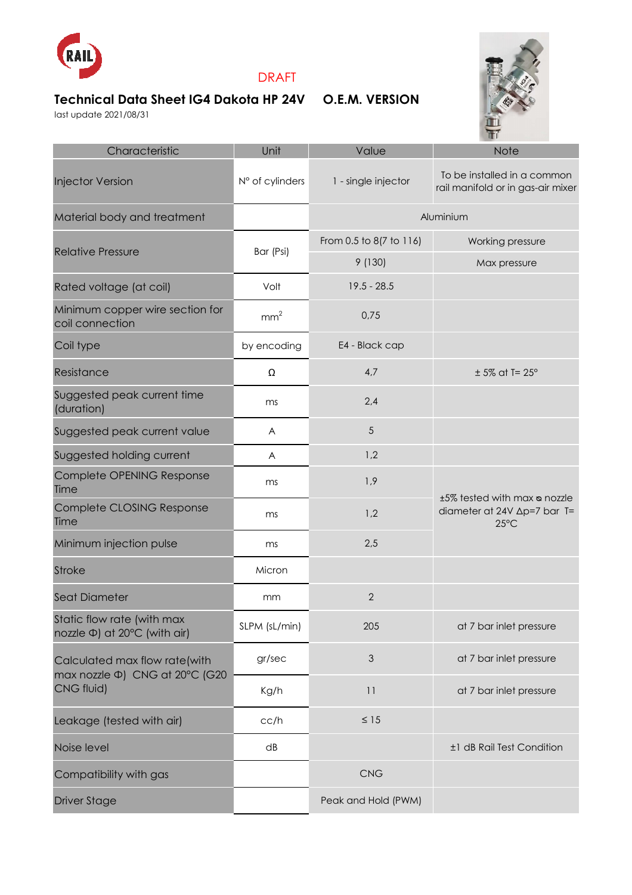

## DRAFT

## **Technical Data Sheet IG4 Dakota HP 24V O.E.M. VERSION**

last update 2021/08/31



| Characteristic                                                                | Unit            | Value                   | Note                                                                                  |
|-------------------------------------------------------------------------------|-----------------|-------------------------|---------------------------------------------------------------------------------------|
| <b>Injector Version</b>                                                       | N° of cylinders | 1 - single injector     | To be installed in a common<br>rail manifold or in gas-air mixer                      |
| Material body and treatment                                                   |                 | Aluminium               |                                                                                       |
| <b>Relative Pressure</b>                                                      | Bar (Psi)       | From 0.5 to 8(7 to 116) | Working pressure                                                                      |
|                                                                               |                 | 9(130)                  | Max pressure                                                                          |
| Rated voltage (at coil)                                                       | Volt            | $19.5 - 28.5$           |                                                                                       |
| Minimum copper wire section for<br>coil connection                            | mm <sup>2</sup> | 0,75                    |                                                                                       |
| Coil type                                                                     | by encoding     | E4 - Black cap          |                                                                                       |
| Resistance                                                                    | Ω               | 4,7                     | $± 5\%$ at T= 25 $^{\circ}$                                                           |
| Suggested peak current time<br>(duration)                                     | ms              | 2,4                     |                                                                                       |
| Suggested peak current value                                                  | A               | 5                       |                                                                                       |
| Suggested holding current                                                     | A               | 1,2                     |                                                                                       |
| Complete OPENING Response<br>Time                                             | ms              | 1,9                     | ±5% tested with max a nozzle<br>diameter at 24V $\Delta p=7$ bar T=<br>$25^{\circ}$ C |
| Complete CLOSING Response<br>Time                                             | ms              | 1,2                     |                                                                                       |
| Minimum injection pulse                                                       | ms              | 2,5                     |                                                                                       |
| <b>Stroke</b>                                                                 | Micron          |                         |                                                                                       |
| <b>Seat Diameter</b>                                                          | mm              | $\overline{2}$          |                                                                                       |
| Static flow rate (with max<br>nozzle Φ) at 20°C (with air)                    | SLPM (sL/min)   | 205                     | at 7 bar inlet pressure                                                               |
| Calculated max flow rate(with<br>max nozzle Φ) CNG at 20°C (G20<br>CNG fluid) | gr/sec          | $\mathfrak{Z}$          | at 7 bar inlet pressure                                                               |
|                                                                               | Kg/h            | 11                      | at 7 bar inlet pressure                                                               |
| Leakage (tested with air)                                                     | cc/h            | $\leq 15$               |                                                                                       |
| Noise level                                                                   | dB              |                         | ±1 dB Rail Test Condition                                                             |
| Compatibility with gas                                                        |                 | CNG                     |                                                                                       |
| <b>Driver Stage</b>                                                           |                 | Peak and Hold (PWM)     |                                                                                       |